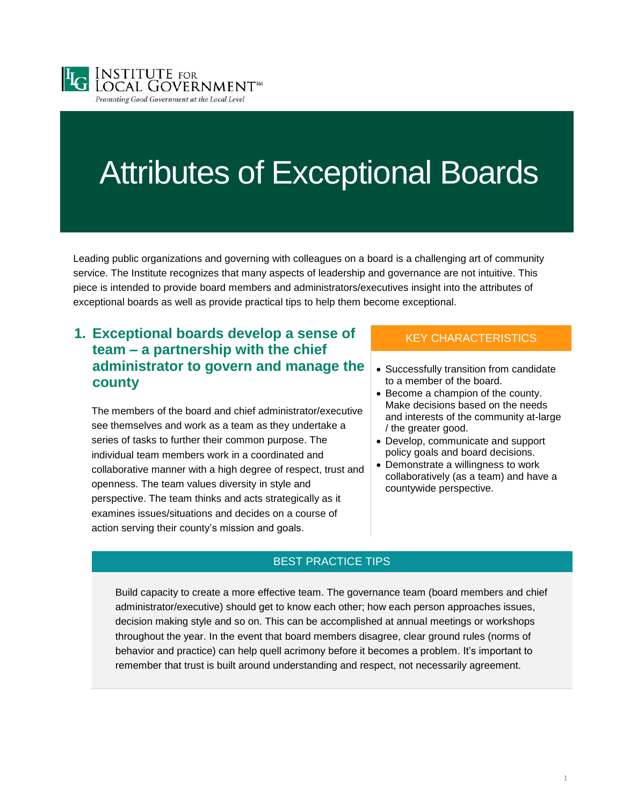

# Attributes of Exceptional Boards

Leading public organizations and governing with colleagues on a board is a challenging art of community service. The Institute recognizes that many aspects of leadership and governance are not intuitive. This piece is intended to provide board members and administrators/executives insight into the attributes of exceptional boards as well as provide practical tips to help them become exceptional.

## **1. Exceptional boards develop a sense of team – a partnership with the chief administrator to govern and manage the county**

The members of the board and chief administrator/executive see themselves and work as a team as they undertake a series of tasks to further their common purpose. The individual team members work in a coordinated and collaborative manner with a high degree of respect, trust and openness. The team values diversity in style and perspective. The team thinks and acts strategically as it examines issues/situations and decides on a course of action serving their county's mission and goals.

### KEY CHARACTERISTICS

- Successfully transition from candidate to a member of the board.
- Become a champion of the county. Make decisions based on the needs and interests of the community at-large / the greater good.
- Develop, communicate and support policy goals and board decisions.
- Demonstrate a willingness to work collaboratively (as a team) and have a countywide perspective.

### BEST PRACTICE TIPS

Build capacity to create a more effective team. The governance team (board members and chief administrator/executive) should get to know each other; how each person approaches issues, decision making style and so on. This can be accomplished at annual meetings or workshops throughout the year. In the event that board members disagree, clear ground rules (norms of behavior and practice) can help quell acrimony before it becomes a problem. It's important to remember that trust is built around understanding and respect, not necessarily agreement.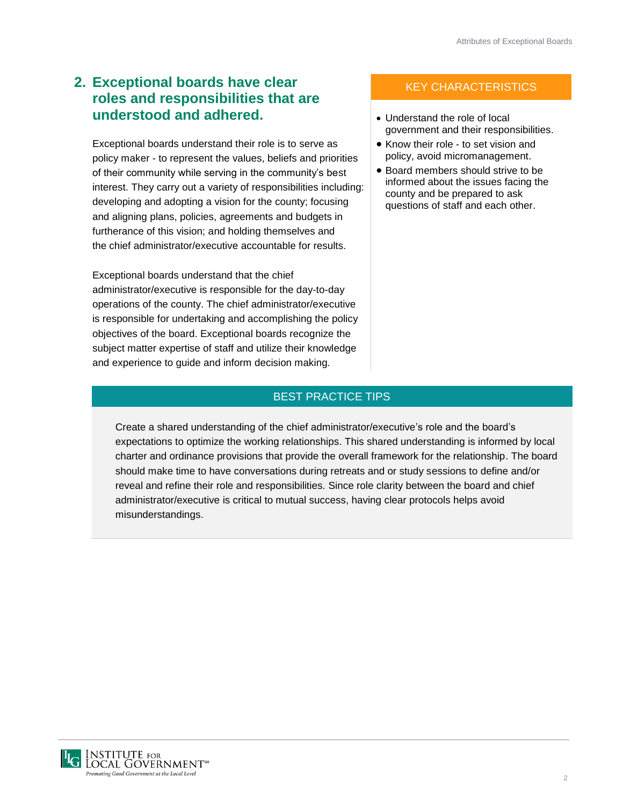# **2. Exceptional boards have clear roles and responsibilities that are understood and adhered.**

Exceptional boards understand their role is to serve as policy maker - to represent the values, beliefs and priorities of their community while serving in the community's best interest. They carry out a variety of responsibilities including: developing and adopting a vision for the county; focusing and aligning plans, policies, agreements and budgets in furtherance of this vision; and holding themselves and the chief administrator/executive accountable for results.

Exceptional boards understand that the chief administrator/executive is responsible for the day-to-day operations of the county. The chief administrator/executive is responsible for undertaking and accomplishing the policy objectives of the board. Exceptional boards recognize the subject matter expertise of staff and utilize their knowledge and experience to guide and inform decision making.

## KEY CHARACTERISTICS

- Understand the role of local government and their responsibilities.
- Know their role to set vision and policy, avoid micromanagement.
- Board members should strive to be informed about the issues facing the county and be prepared to ask questions of staff and each other.

#### BEST PRACTICE TIPS

Create a shared understanding of the chief administrator/executive's role and the board's expectations to optimize the working relationships. This shared understanding is informed by local charter and ordinance provisions that provide the overall framework for the relationship. The board should make time to have conversations during retreats and or study sessions to define and/or reveal and refine their role and responsibilities. Since role clarity between the board and chief administrator/executive is critical to mutual success, having clear protocols helps avoid misunderstandings.

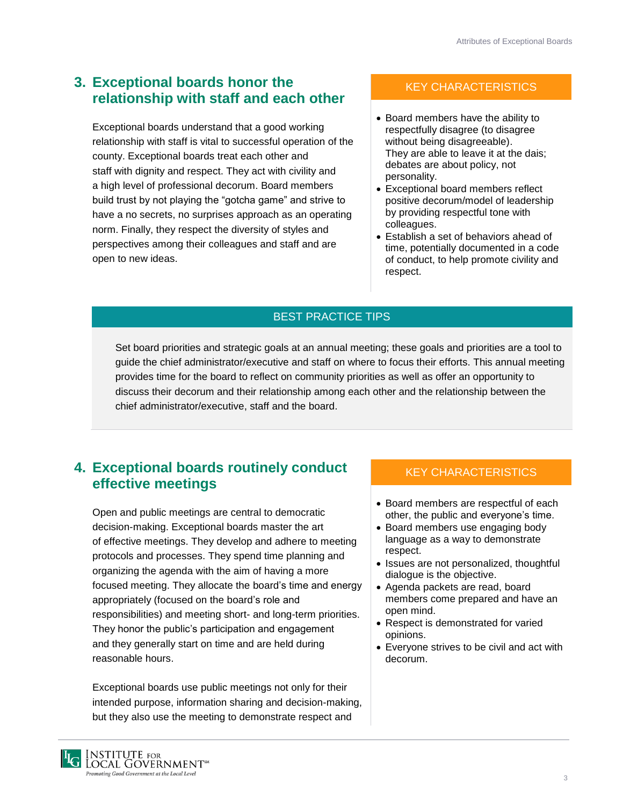# **3. Exceptional boards honor the relationship with staff and each other**

Exceptional boards understand that a good working relationship with staff is vital to successful operation of the county. Exceptional boards treat each other and staff with dignity and respect. They act with civility and a high level of professional decorum. Board members build trust by not playing the "gotcha game" and strive to have a no secrets, no surprises approach as an operating norm. Finally, they respect the diversity of styles and perspectives among their colleagues and staff and are open to new ideas.

## KEY CHARACTERISTICS

- Board members have the ability to respectfully disagree (to disagree without being disagreeable). They are able to leave it at the dais; debates are about policy, not personality.
- Exceptional board members reflect positive decorum/model of leadership by providing respectful tone with colleagues.
- Establish a set of behaviors ahead of time, potentially documented in a code of conduct, to help promote civility and respect.

## BEST PRACTICE TIPS

Set board priorities and strategic goals at an annual meeting; these goals and priorities are a tool to guide the chief administrator/executive and staff on where to focus their efforts. This annual meeting provides time for the board to reflect on community priorities as well as offer an opportunity to discuss their decorum and their relationship among each other and the relationship between the chief administrator/executive, staff and the board.

## **4. Exceptional boards routinely conduct effective meetings**

Open and public meetings are central to democratic decision-making. Exceptional boards master the art of effective meetings. They develop and adhere to meeting protocols and processes. They spend time planning and organizing the agenda with the aim of having a more focused meeting. They allocate the board's time and energy appropriately (focused on the board's role and responsibilities) and meeting short- and long-term priorities. They honor the public's participation and engagement and they generally start on time and are held during reasonable hours.

Exceptional boards use public meetings not only for their intended purpose, information sharing and decision-making, but they also use the meeting to demonstrate respect and

## KEY CHARACTERISTICS

- Board members are respectful of each other, the public and everyone's time.
- Board members use engaging body language as a way to demonstrate respect.
- Issues are not personalized, thoughtful dialogue is the objective.
- Agenda packets are read, board members come prepared and have an open mind.
- Respect is demonstrated for varied opinions.
- Everyone strives to be civil and act with decorum.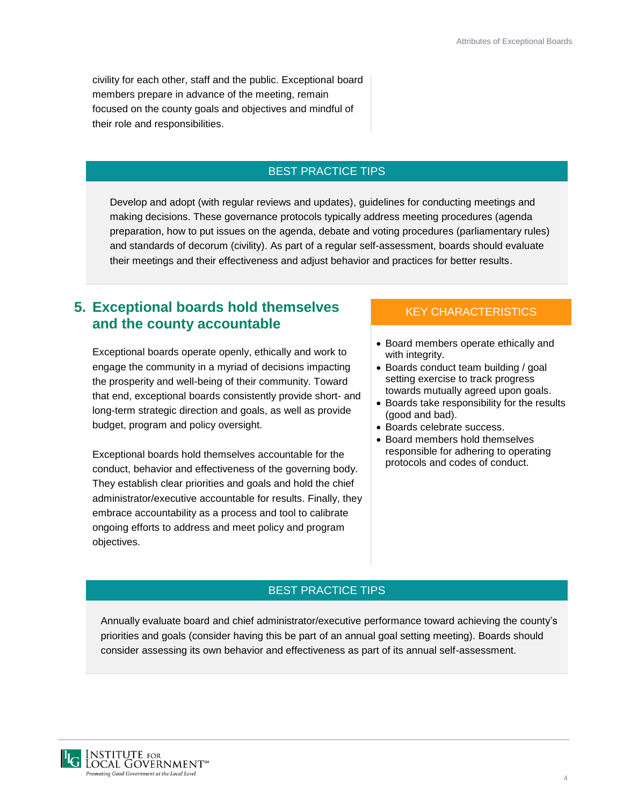civility for each other, staff and the public. Exceptional board members prepare in advance of the meeting, remain focused on the county goals and objectives and mindful of their role and responsibilities.

#### BEST PRACTICE TIPS

Develop and adopt (with regular reviews and updates), guidelines for conducting meetings and making decisions. These governance protocols typically address meeting procedures (agenda preparation, how to put issues on the agenda, debate and voting procedures (parliamentary rules) and standards of decorum (civility). As part of a regular self-assessment, boards should evaluate their meetings and their effectiveness and adjust behavior and practices for better results.

## **5. Exceptional boards hold themselves and the county accountable**

Exceptional boards operate openly, ethically and work to engage the community in a myriad of decisions impacting the prosperity and well-being of their community. Toward that end, exceptional boards consistently provide short- and long-term strategic direction and goals, as well as provide budget, program and policy oversight.

Exceptional boards hold themselves accountable for the conduct, behavior and effectiveness of the governing body. They establish clear priorities and goals and hold the chief administrator/executive accountable for results. Finally, they embrace accountability as a process and tool to calibrate ongoing efforts to address and meet policy and program objectives.

### KEY CHARACTERISTICS

- Board members operate ethically and with integrity.
- Boards conduct team building / goal setting exercise to track progress towards mutually agreed upon goals.
- Boards take responsibility for the results (good and bad).
- Boards celebrate success.
- Board members hold themselves responsible for adhering to operating protocols and codes of conduct.

#### BEST PRACTICE TIPS

Annually evaluate board and chief administrator/executive performance toward achieving the county's priorities and goals (consider having this be part of an annual goal setting meeting). Boards should consider assessing its own behavior and effectiveness as part of its annual self-assessment.